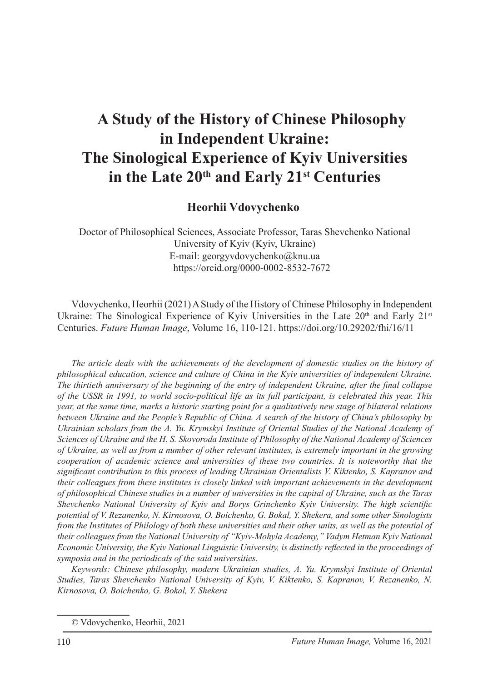#### **Heorhii Vdovychenko**<sup>1</sup>

Doctor of Philosophical Sciences, Associate Professor, Taras Shevchenko National University of Kyiv (Kyiv, Ukraine) E-mail: georgyvdovychenko@knu.ua https://orcid.org/0000-0002-8532-7672

Vdovychenko, Heorhii (2021) A Study of the History of Chinese Philosophy in Independent Ukraine: The Sinological Experience of Kyiv Universities in the Late  $20<sup>th</sup>$  and Early  $21<sup>st</sup>$ Centuries. *Future Human Image*, Volume 16, 110-121. https://doi.org/10.29202/fhi/16/11

*The article deals with the achievements of the development of domestic studies on the history of philosophical education, science and culture of China in the Kyiv universities of independent Ukraine. The thirtieth anniversary of the beginning of the entry of independent Ukraine, after the final collapse of the USSR in 1991, to world socio-political life as its full participant, is celebrated this year. This year, at the same time, marks a historic starting point for a qualitatively new stage of bilateral relations between Ukraine and the People's Republic of China. A search of the history of China's philosophy by Ukrainian scholars from the A. Yu. Krymskyi Institute of Oriental Studies of the National Academy of Sciences of Ukraine and the H. S. Skovoroda Institute of Philosophy of the National Academy of Sciences of Ukraine, as well as from a number of other relevant institutes, is extremely important in the growing cooperation of academic science and universities of these two countries. It is noteworthy that the significant contribution to this process of leading Ukrainian Orientalists V. Kiktenko, S. Kapranov and their colleagues from these institutes is closely linked with important achievements in the development of philosophical Chinese studies in a number of universities in the capital of Ukraine, such as the Taras Shevchenko National University of Kyiv and Borys Grinchenko Kyiv University. The high scientific potential of V. Rezanenko, N. Kirnosova, O. Boichenko, G. Bokal, Y. Shekera, and some other Sinologists from the Institutes of Philology of both these universities and their other units, as well as the potential of their colleagues from the National University of "Kyiv-Mohyla Academy," Vadym Hetman Kyiv National Economic University, the Kyiv National Linguistic University, is distinctly reflected in the proceedings of symposia and in the periodicals of the said universities.*

*Keywords: Chinese philosophy, modern Ukrainian studies, A. Yu. Krymskyi Institute of Oriental Studies, Taras Shevchenko National University of Kyiv, V. Kiktenko, S. Kapranov, V. Rezanenko, N. Kirnosova, O. Boichenko, G. Bokal, Y. Shekera*

<sup>©</sup> Vdovychenko, Heorhii, 2021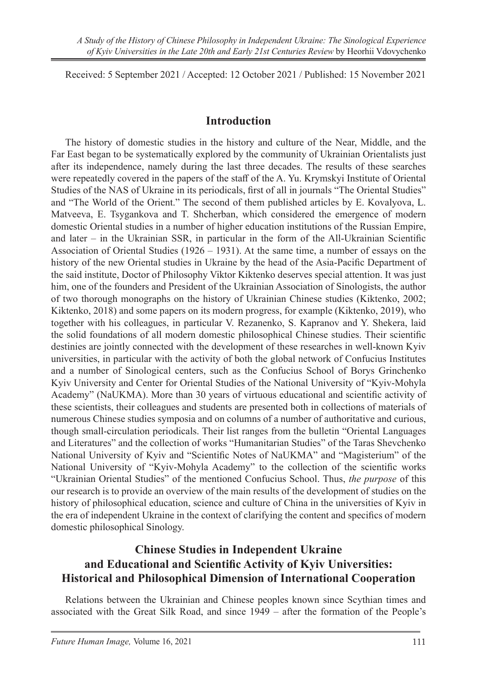Received: 5 September 2021 / Accepted: 12 October 2021 / Published: 15 November 2021

#### **Introduction**

The history of domestic studies in the history and culture of the Near, Middle, and the Far East began to be systematically explored by the community of Ukrainian Orientalists just after its independence, namely during the last three decades. The results of these searches were repeatedly covered in the papers of the staff of the A. Yu. Krymskyi Institute of Oriental Studies of the NAS of Ukraine in its periodicals, first of all in journals "The Oriental Studies" and "The World of the Orient." The second of them published articles by E. Kovalyova, L. Matveeva, E. Tsygankova and T. Shcherban, which considered the emergence of modern domestic Oriental studies in a number of higher education institutions of the Russian Empire, and later – in the Ukrainian SSR, in particular in the form of the All-Ukrainian Scientific Association of Oriental Studies (1926 – 1931). At the same time, a number of essays on the history of the new Oriental studies in Ukraine by the head of the Asia-Pacific Department of the said institute, Doctor of Philosophy Viktor Kiktenko deserves special attention. It was just him, one of the founders and President of the Ukrainian Association of Sinologists, the author of two thorough monographs on the history of Ukrainian Chinese studies (Kiktenko, 2002; Kiktenko, 2018) and some papers on its modern progress, for example (Kiktenko, 2019), who together with his colleagues, in particular V. Rezanenko, S. Kapranov and Y. Shekera, laid the solid foundations of all modern domestic philosophical Chinese studies. Their scientific destinies are jointly connected with the development of these researches in well-known Kyiv universities, in particular with the activity of both the global network of Confucius Institutes and a number of Sinological centers, such as the Confucius School of Borys Grinchenko Kyiv University and Center for Oriental Studies of the National University of "Kyiv-Mohyla Academy" (NaUKMA). More than 30 years of virtuous educational and scientific activity of these scientists, their colleagues and students are presented both in collections of materials of numerous Chinese studies symposia and on columns of a number of authoritative and curious, though small-circulation periodicals. Their list ranges from the bulletin "Oriental Languages and Literatures" and the collection of works "Humanitarian Studies" of the Taras Shevchenko National University of Kyiv and "Scientific Notes of NaUKMA" and "Magisterium" of the National University of "Kyiv-Mohyla Academy" to the collection of the scientific works "Ukrainian Oriental Studies" of the mentioned Confucius School. Thus, *the purpose* of this our research is to provide an overview of the main results of the development of studies on the history of philosophical education, science and culture of China in the universities of Kyiv in the era of independent Ukraine in the context of clarifying the content and specifics of modern domestic philosophical Sinology.

### **Chinese Studies in Independent Ukraine and Educational and Scientific Activity of Kyiv Universities: Historical and Philosophical Dimension of International Cooperation**

Relations between the Ukrainian and Chinese peoples known since Scythian times and associated with the Great Silk Road, and since 1949 – after the formation of the People's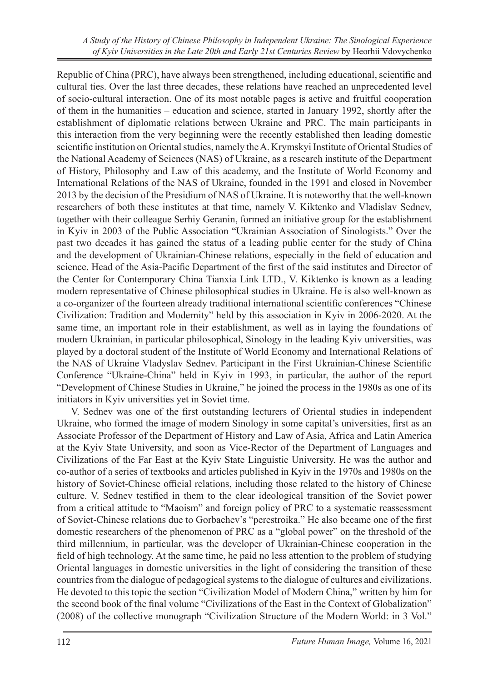Republic of China (PRC), have always been strengthened, including educational, scientific and cultural ties. Over the last three decades, these relations have reached an unprecedented level of socio-cultural interaction. One of its most notable pages is active and fruitful cooperation of them in the humanities – education and science, started in January 1992, shortly after the establishment of diplomatic relations between Ukraine and PRC. The main participants in this interaction from the very beginning were the recently established then leading domestic scientific institution on Oriental studies, namely the A. Krymskyi Institute of Oriental Studies of the National Academy of Sciences (NAS) of Ukraine, as a research institute of the Department of History, Philosophy and Law of this academy, and the Institute of World Economy and International Relations of the NAS of Ukraine, founded in the 1991 and closed in November 2013 by the decision of the Presidium of NAS of Ukraine. It is noteworthy that the well-known researchers of both these institutes at that time, namely V. Kiktenko and Vladislav Sednev, together with their colleague Serhiy Geranin, formed an initiative group for the establishment in Kyiv in 2003 of the Public Association "Ukrainian Association of Sinologists." Over the past two decades it has gained the status of a leading public center for the study of China and the development of Ukrainian-Chinese relations, especially in the field of education and science. Head of the Asia-Pacific Department of the first of the said institutes and Director of the Center for Contemporary China Tianxia Link LTD., V. Kiktenko is known as a leading modern representative of Chinese philosophical studies in Ukraine. He is also well-known as a co-organizer of the fourteen already traditional international scientific conferences "Chinese Civilization: Tradition and Modernity" held by this association in Kyiv in 2006-2020. At the same time, an important role in their establishment, as well as in laying the foundations of modern Ukrainian, in particular philosophical, Sinology in the leading Kyiv universities, was played by a doctoral student of the Institute of World Economy and International Relations of the NAS of Ukraine Vladyslav Sednev. Participant in the First Ukrainian-Chinese Scientific Conference "Ukraine-China" held in Kyiv in 1993, in particular, the author of the report "Development of Chinese Studies in Ukraine," he joined the process in the 1980s as one of its initiators in Kyiv universities yet in Soviet time.

V. Sednev was one of the first outstanding lecturers of Oriental studies in independent Ukraine, who formed the image of modern Sinology in some capital's universities, first as an Associate Professor of the Department of History and Law of Asia, Africa and Latin America at the Kyiv State University, and soon as Vice-Rector of the Department of Languages and Civilizations of the Far East at the Kyiv State Linguistic University. He was the author and co-author of a series of textbooks and articles published in Kyiv in the 1970s and 1980s on the history of Soviet-Chinese official relations, including those related to the history of Chinese culture. V. Sednev testified in them to the clear ideological transition of the Soviet power from a critical attitude to "Maoism" and foreign policy of PRC to a systematic reassessment of Soviet-Chinese relations due to Gorbachev's "perestroika." He also became one of the first domestic researchers of the phenomenon of PRC as a "global power" on the threshold of the third millennium, in particular, was the developer of Ukrainian-Chinese cooperation in the field of high technology. At the same time, he paid no less attention to the problem of studying Oriental languages in domestic universities in the light of considering the transition of these countries from the dialogue of pedagogical systems to the dialogue of cultures and civilizations. He devoted to this topic the section "Civilization Model of Modern China," written by him for the second book of the final volume "Civilizations of the East in the Context of Globalization" (2008) of the collective monograph "Civilization Structure of the Modern World: in 3 Vol."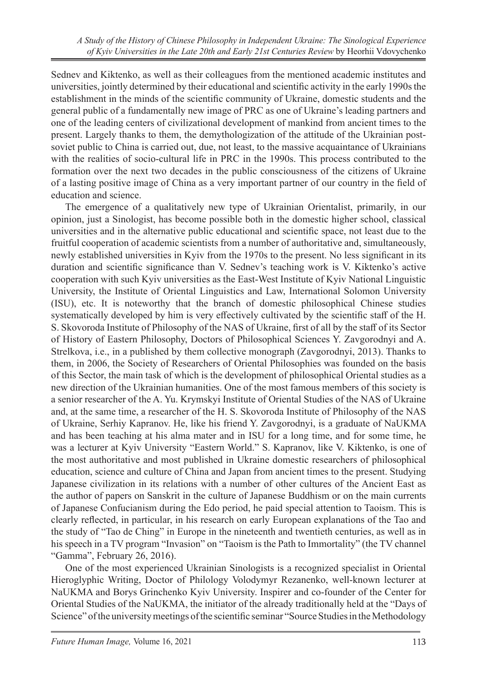Sednev and Kiktenko, as well as their colleagues from the mentioned academic institutes and universities, jointly determined by their educational and scientific activity in the early 1990s the establishment in the minds of the scientific community of Ukraine, domestic students and the general public of a fundamentally new image of PRC as one of Ukraine's leading partners and one of the leading centers of civilizational development of mankind from ancient times to the present. Largely thanks to them, the demythologization of the attitude of the Ukrainian postsoviet public to China is carried out, due, not least, to the massive acquaintance of Ukrainians with the realities of socio-cultural life in PRC in the 1990s. This process contributed to the formation over the next two decades in the public consciousness of the citizens of Ukraine of a lasting positive image of China as a very important partner of our country in the field of education and science.

The emergence of a qualitatively new type of Ukrainian Orientalist, primarily, in our opinion, just a Sinologist, has become possible both in the domestic higher school, classical universities and in the alternative public educational and scientific space, not least due to the fruitful cooperation of academic scientists from a number of authoritative and, simultaneously, newly established universities in Kyiv from the 1970s to the present. No less significant in its duration and scientific significance than V. Sednev's teaching work is V. Kiktenko's active cooperation with such Kyiv universities as the East-West Institute of Kyiv National Linguistic University, the Institute of Oriental Linguistics and Law, International Solomon University (ISU), etc. It is noteworthy that the branch of domestic philosophical Chinese studies systematically developed by him is very effectively cultivated by the scientific staff of the H. S. Skovoroda Institute of Philosophy of the NAS of Ukraine, first of all by the staff of its Sector of History of Eastern Philosophy, Doctors of Philosophical Sciences Y. Zavgorodnyi and A. Strelkova, i.e., in a published by them collective monograph (Zavgorodnyi, 2013). Thanks to them, in 2006, the Society of Researchers of Oriental Philosophies was founded on the basis of this Sector, the main task of which is the development of philosophical Oriental studies as a new direction of the Ukrainian humanities. One of the most famous members of this society is a senior researcher of the A. Yu. Krymskyi Institute of Oriental Studies of the NAS of Ukraine and, at the same time, a researcher of the H. S. Skovoroda Institute of Philosophy of the NAS of Ukraine, Serhiy Kapranov. He, like his friend Y. Zavgorodnyi, is a graduate of NaUKMA and has been teaching at his alma mater and in ISU for a long time, and for some time, he was a lecturer at Kyiv University "Eastern World." S. Kapranov, like V. Kiktenko, is one of the most authoritative and most published in Ukraine domestic researchers of philosophical education, science and culture of China and Japan from ancient times to the present. Studying Japanese civilization in its relations with a number of other cultures of the Ancient East as the author of papers on Sanskrit in the culture of Japanese Buddhism or on the main currents of Japanese Confucianism during the Edo period, he paid special attention to Taoism. This is clearly reflected, in particular, in his research on early European explanations of the Tao and the study of "Tao de Ching" in Europe in the nineteenth and twentieth centuries, as well as in his speech in a TV program "Invasion" on "Taoism is the Path to Immortality" (the TV channel "Gamma", February 26, 2016).

One of the most experienced Ukrainian Sinologists is a recognized specialist in Oriental Hieroglyphic Writing, Doctor of Philology Volodymyr Rezanenko, well-known lecturer at NaUKMA and Borys Grinchenko Kyiv University. Inspirer and co-founder of the Center for Oriental Studies of the NaUKMA, the initiator of the already traditionally held at the "Days of Science" of the university meetings of the scientific seminar "Source Studies in the Methodology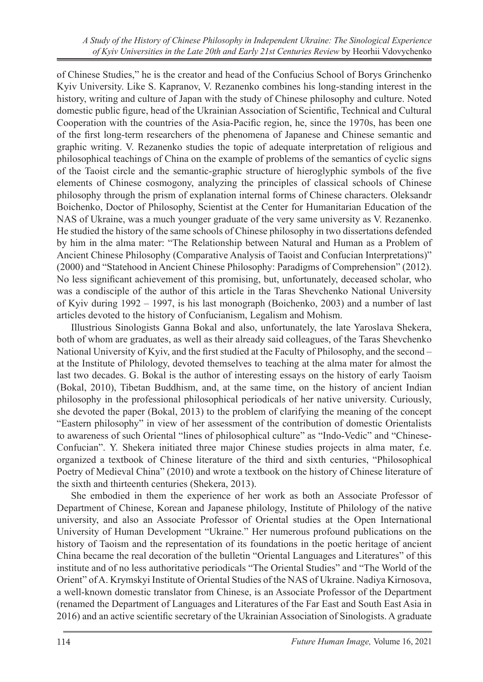of Chinese Studies," he is the creator and head of the Confucius School of Borys Grinchenko Kyiv University. Like S. Kapranov, V. Rezanenko combines his long-standing interest in the history, writing and culture of Japan with the study of Chinese philosophy and culture. Noted domestic public figure, head of the Ukrainian Association of Scientific, Technical and Cultural Cooperation with the countries of the Asia-Pacific region, he, since the 1970s, has been one of the first long-term researchers of the phenomena of Japanese and Chinese semantic and graphic writing. V. Rezanenko studies the topic of adequate interpretation of religious and philosophical teachings of China on the example of problems of the semantics of cyclic signs of the Taoist circle and the semantic-graphic structure of hieroglyphic symbols of the five elements of Chinese cosmogony, analyzing the principles of classical schools of Chinese philosophy through the prism of explanation internal forms of Chinese characters. Oleksandr Boichenko, Doctor of Philosophy, Scientist at the Center for Humanitarian Education of the NAS of Ukraine, was a much younger graduate of the very same university as V. Rezanenko. He studied the history of the same schools of Chinese philosophy in two dissertations defended by him in the alma mater: "The Relationship between Natural and Human as a Problem of Ancient Chinese Philosophy (Comparative Analysis of Taoist and Confucian Interpretations)" (2000) and "Statehood in Ancient Chinese Philosophy: Paradigms of Comprehension" (2012). No less significant achievement of this promising, but, unfortunately, deceased scholar, who was a condisciple of the author of this article in the Taras Shevchenko National University of Kyiv during 1992 – 1997, is his last monograph (Boichenko, 2003) and a number of last articles devoted to the history of Confucianism, Legalism and Mohism.

Illustrious Sinologists Ganna Bokal and also, unfortunately, the late Yaroslava Shekera, both of whom are graduates, as well as their already said colleagues, of the Taras Shevchenko National University of Kyiv, and the first studied at the Faculty of Philosophy, and the second – at the Institute of Philology, devoted themselves to teaching at the alma mater for almost the last two decades. G. Bokal is the author of interesting essays on the history of early Taoism (Bokal, 2010), Tibetan Buddhism, and, at the same time, on the history of ancient Indian philosophy in the professional philosophical periodicals of her native university. Curiously, she devoted the paper (Bokal, 2013) to the problem of clarifying the meaning of the concept "Eastern philosophy" in view of her assessment of the contribution of domestic Orientalists to awareness of such Oriental "lines of philosophical culture" as "Indo-Vedic" and "Chinese-Confucian". Y. Shekera initiated three major Chinese studies projects in alma mater, f.e. organized a textbook of Chinese literature of the third and sixth centuries, "Philosophical Poetry of Medieval China" (2010) and wrote a textbook on the history of Chinese literature of the sixth and thirteenth centuries (Shekera, 2013).

She embodied in them the experience of her work as both an Associate Professor of Department of Chinese, Korean and Japanese philology, Institute of Philology of the native university, and also an Associate Professor of Oriental studies at the Open International University of Human Development "Ukraine." Her numerous profound publications on the history of Taoism and the representation of its foundations in the poetic heritage of ancient China became the real decoration of the bulletin "Oriental Languages and Literatures" of this institute and of no less authoritative periodicals "The Oriental Studies" and "The World of the Orient" of A. Krymskyi Institute of Oriental Studies of the NAS of Ukraine. Nadiya Kirnosova, a well-known domestic translator from Chinese, is an Associate Professor of the Department (renamed the Department of Languages and Literatures of the Far East and South East Asia in 2016) and an active scientific secretary of the Ukrainian Association of Sinologists. A graduate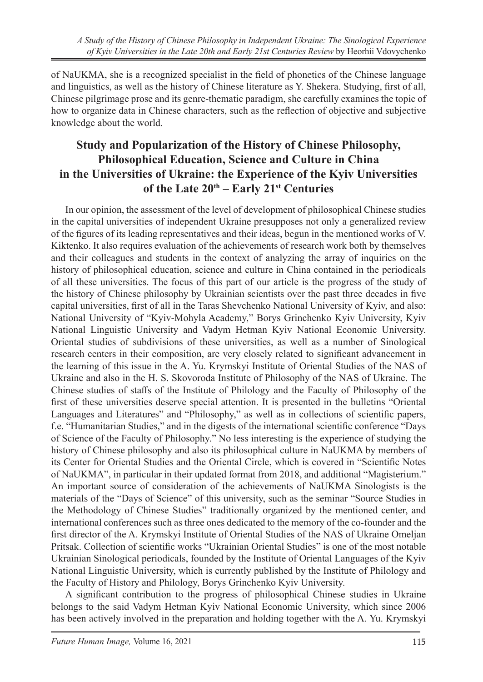of NaUKMA, she is a recognized specialist in the field of phonetics of the Chinese language and linguistics, as well as the history of Chinese literature as Y. Shekera. Studying, first of all, Chinese pilgrimage prose and its genre-thematic paradigm, she carefully examines the topic of how to organize data in Chinese characters, such as the reflection of objective and subjective knowledge about the world.

## **Study and Popularization of the History of Chinese Philosophy, Philosophical Education, Science and Culture in China in the Universities of Ukraine: the Experience of the Kyiv Universities of the Late 20th – Early 21st Centuries**

In our opinion, the assessment of the level of development of philosophical Chinese studies in the capital universities of independent Ukraine presupposes not only a generalized review of the figures of its leading representatives and their ideas, begun in the mentioned works of V. Kiktenko. It also requires evaluation of the achievements of research work both by themselves and their colleagues and students in the context of analyzing the array of inquiries on the history of philosophical education, science and culture in China contained in the periodicals of all these universities. The focus of this part of our article is the progress of the study of the history of Chinese philosophy by Ukrainian scientists over the past three decades in five capital universities, first of all in the Taras Shevchenko National University of Kyiv, and also: National University of "Kyiv-Mohyla Academy," Borys Grinchenko Kyiv University, Kyiv National Linguistic University and Vadym Hetman Kyiv National Economic University. Oriental studies of subdivisions of these universities, as well as a number of Sinological research centers in their composition, are very closely related to significant advancement in the learning of this issue in the A. Yu. Krymskyi Institute of Oriental Studies of the NAS of Ukraine and also in the H. S. Skovoroda Institute of Philosophy of the NAS of Ukraine. The Chinese studies of staffs of the Institute of Philology and the Faculty of Philosophy of the first of these universities deserve special attention. It is presented in the bulletins "Oriental Languages and Literatures" and "Philosophy," as well as in collections of scientific papers, f.e. "Humanitarian Studies," and in the digests of the international scientific conference "Days of Science of the Faculty of Philosophy." No less interesting is the experience of studying the history of Chinese philosophy and also its philosophical culture in NaUKMA by members of its Center for Oriental Studies and the Oriental Circle, which is covered in "Scientific Notes of NaUKMA", in particular in their updated format from 2018, and additional "Magisterium." An important source of consideration of the achievements of NaUKMA Sinologists is the materials of the "Days of Science" of this university, such as the seminar "Source Studies in the Methodology of Chinese Studies" traditionally organized by the mentioned center, and international conferences such as three ones dedicated to the memory of the co-founder and the first director of the A. Krymskyi Institute of Oriental Studies of the NAS of Ukraine Omeljan Pritsak. Collection of scientific works "Ukrainian Oriental Studies" is one of the most notable Ukrainian Sinological periodicals, founded by the Institute of Oriental Languages of the Kyiv National Linguistic University, which is currently published by the Institute of Philology and the Faculty of History and Philology, Borys Grinchenko Kyiv University.

A significant contribution to the progress of philosophical Chinese studies in Ukraine belongs to the said Vadym Hetman Kyiv National Economic University, which since 2006 has been actively involved in the preparation and holding together with the A. Yu. Krymskyi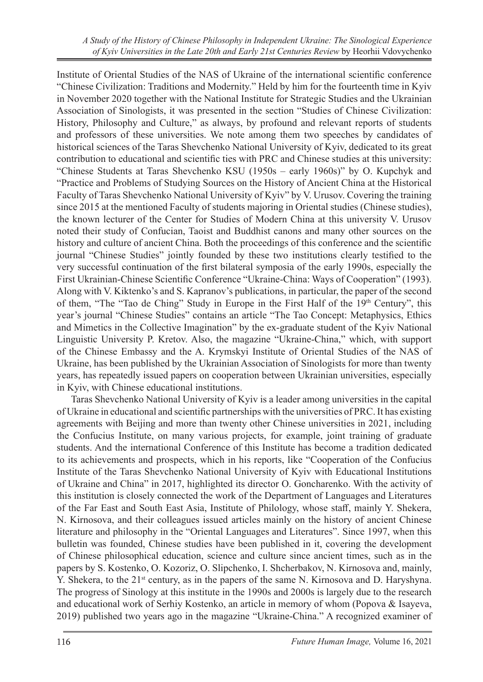Institute of Oriental Studies of the NAS of Ukraine of the international scientific conference "Chinese Civilization: Traditions and Modernity." Held by him for the fourteenth time in Kyiv in November 2020 together with the National Institute for Strategic Studies and the Ukrainian Association of Sinologists, it was presented in the section "Studies of Chinese Civilization: History, Philosophy and Culture," as always, by profound and relevant reports of students and professors of these universities. We note among them two speeches by candidates of historical sciences of the Taras Shevchenko National University of Kyiv, dedicated to its great contribution to educational and scientific ties with PRC and Chinese studies at this university: "Chinese Students at Taras Shevchenko KSU (1950s – early 1960s)" by O. Kupchyk and "Practice and Problems of Studying Sources on the History of Ancient China at the Historical Faculty of Taras Shevchenko National University of Kyiv" by V. Urusov. Covering the training since 2015 at the mentioned Faculty of students majoring in Oriental studies (Chinese studies), the known lecturer of the Center for Studies of Modern China at this university V. Urusov noted their study of Confucian, Taoist and Buddhist canons and many other sources on the history and culture of ancient China. Both the proceedings of this conference and the scientific journal "Chinese Studies" jointly founded by these two institutions clearly testified to the very successful continuation of the first bilateral symposia of the early 1990s, especially the First Ukrainian-Chinese Scientific Conference "Ukraine-China: Ways of Cooperation" (1993). Along with V. Kiktenko's and S. Kapranov's publications, in particular, the paper of the second of them, "The "Tao de Ching" Study in Europe in the First Half of the  $19<sup>th</sup>$  Century", this year's journal "Chinese Studies" contains an article "The Tao Concept: Metaphysics, Ethics and Mimetics in the Collective Imagination" by the ex-graduate student of the Kyiv National Linguistic University P. Kretov. Also, the magazine "Ukraine-China," which, with support of the Chinese Embassy and the A. Krymskyi Institute of Oriental Studies of the NAS of Ukraine, has been published by the Ukrainian Association of Sinologists for more than twenty years, has repeatedly issued papers on cooperation between Ukrainian universities, especially in Kyiv, with Chinese educational institutions.

Taras Shevchenko National University of Kyiv is a leader among universities in the capital of Ukraine in educational and scientific partnerships with the universities of PRC. It has existing agreements with Beijing and more than twenty other Chinese universities in 2021, including the Confucius Institute, on many various projects, for example, joint training of graduate students. And the international Conference of this Institute has become a tradition dedicated to its achievements and prospects, which in his reports, like "Cooperation of the Confucius Institute of the Taras Shevchenko National University of Kyiv with Educational Institutions of Ukraine and China" in 2017, highlighted its director O. Goncharenko. With the activity of this institution is closely connected the work of the Department of Languages and Literatures of the Far East and South East Asia, Institute of Philology, whose staff, mainly Y. Shekera, N. Kirnosova, and their colleagues issued articles mainly on the history of ancient Chinese literature and philosophy in the "Oriental Languages and Literatures". Since 1997, when this bulletin was founded, Chinese studies have been published in it, covering the development of Chinese philosophical education, science and culture since ancient times, such as in the papers by S. Kostenko, O. Kozoriz, O. Slipchenko, I. Shcherbakov, N. Kirnosova and, mainly, Y. Shekera, to the  $21^{st}$  century, as in the papers of the same N. Kirnosova and D. Haryshyna. The progress of Sinology at this institute in the 1990s and 2000s is largely due to the research and educational work of Serhiy Kostenko, an article in memory of whom (Popova & Isayeva, 2019) published two years ago in the magazine "Ukraine-China." A recognized examiner of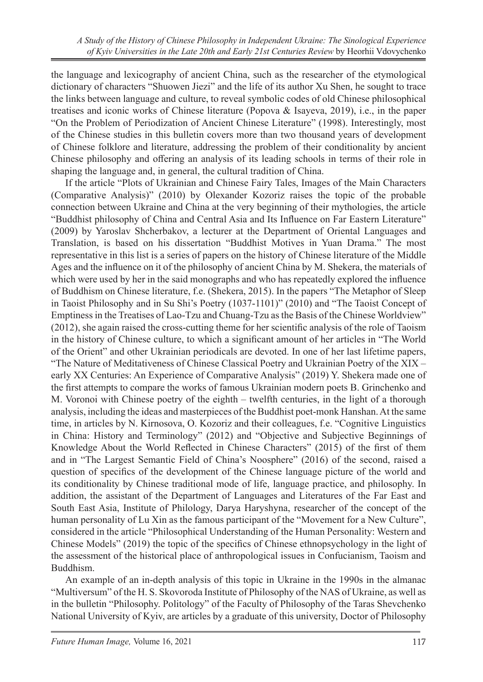the language and lexicography of ancient China, such as the researcher of the etymological dictionary of characters "Shuowen Jiezi" and the life of its author Xu Shen, he sought to trace the links between language and culture, to reveal symbolic codes of old Chinese philosophical treatises and iconic works of Chinese literature (Popova & Isayeva, 2019), i.e., in the paper "On the Problem of Periodization of Ancient Chinese Literature" (1998). Interestingly, most of the Chinese studies in this bulletin covers more than two thousand years of development of Chinese folklore and literature, addressing the problem of their conditionality by ancient Chinese philosophy and offering an analysis of its leading schools in terms of their role in shaping the language and, in general, the cultural tradition of China.

If the article "Plots of Ukrainian and Chinese Fairy Tales, Images of the Main Characters (Comparative Analysis)" (2010) by Olexander Kozoriz raises the topic of the probable connection between Ukraine and China at the very beginning of their mythologies, the article "Buddhist philosophy of China and Central Asia and Its Influence on Far Eastern Literature" (2009) by Yaroslav Shcherbakov, a lecturer at the Department of Oriental Languages and Translation, is based on his dissertation "Buddhist Motives in Yuan Drama." The most representative in this list is a series of papers on the history of Chinese literature of the Middle Ages and the influence on it of the philosophy of ancient China by M. Shekera, the materials of which were used by her in the said monographs and who has repeatedly explored the influence of Buddhism on Chinese literature, f.e. (Shekera, 2015). In the papers "The Metaphor of Sleep in Taoist Philosophy and in Su Shi's Poetry (1037-1101)" (2010) and "The Taoist Concept of Emptiness in the Treatises of Lao-Tzu and Chuang-Tzu as the Basis of the Chinese Worldview" (2012), she again raised the cross-cutting theme for her scientific analysis of the role of Taoism in the history of Chinese culture, to which a significant amount of her articles in "The World of the Orient" and other Ukrainian periodicals are devoted. In one of her last lifetime papers, "The Nature of Meditativeness of Chinese Classical Poetry and Ukrainian Poetry of the XIX – early XX Centuries: An Experience of Comparative Analysis" (2019) Y. Shekera made one of the first attempts to compare the works of famous Ukrainian modern poets B. Grinchenko and M. Voronoi with Chinese poetry of the eighth – twelfth centuries, in the light of a thorough analysis, including the ideas and masterpieces of the Buddhist poet-monk Hanshan. At the same time, in articles by N. Kirnosova, O. Kozoriz and their colleagues, f.e. "Cognitive Linguistics in China: History and Terminology" (2012) and "Objective and Subjective Beginnings of Knowledge About the World Reflected in Chinese Characters" (2015) of the first of them and in "The Largest Semantic Field of China's Noosphere" (2016) of the second, raised a question of specifics of the development of the Chinese language picture of the world and its conditionality by Chinese traditional mode of life, language practice, and philosophy. In addition, the assistant of the Department of Languages and Literatures of the Far East and South East Asia, Institute of Philology, Darya Haryshyna, researcher of the concept of the human personality of Lu Xin as the famous participant of the "Movement for a New Culture", considered in the article "Philosophical Understanding of the Human Personality: Western and Chinese Models" (2019) the topic of the specifics of Chinese ethnopsychology in the light of the assessment of the historical place of anthropological issues in Confucianism, Taoism and Buddhism.

An example of an in-depth analysis of this topic in Ukraine in the 1990s in the almanac "Multiversum" of the H. S. Skovoroda Institute of Philosophy of the NAS of Ukraine, as well as in the bulletin "Philosophy. Politology" of the Faculty of Philosophy of the Taras Shevchenko National University of Kyiv, are articles by a graduate of this university, Doctor of Philosophy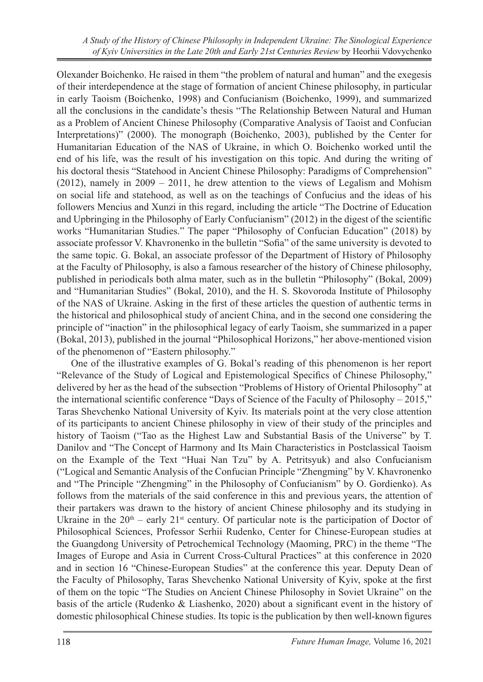Olexander Boichenko. He raised in them "the problem of natural and human" and the exegesis of their interdependence at the stage of formation of ancient Chinese philosophy, in particular in early Taoism (Boichenko, 1998) and Confucianism (Boichenko, 1999), and summarized all the conclusions in the candidate's thesis "The Relationship Between Natural and Human as a Problem of Ancient Chinese Philosophy (Comparative Analysis of Taoist and Confucian Interpretations)" (2000). The monograph (Boichenko, 2003), published by the Center for Humanitarian Education of the NAS of Ukraine, in which O. Boichenko worked until the end of his life, was the result of his investigation on this topic. And during the writing of his doctoral thesis "Statehood in Ancient Chinese Philosophy: Paradigms of Comprehension" (2012), namely in 2009 – 2011, he drew attention to the views of Legalism and Mohism on social life and statehood, as well as on the teachings of Confucius and the ideas of his followers Mencius and Xunzi in this regard, including the article "The Doctrine of Education and Upbringing in the Philosophy of Early Confucianism" (2012) in the digest of the scientific works "Humanitarian Studies." The paper "Philosophy of Confucian Education" (2018) by associate professor V. Khavronenko in the bulletin "Sofia" of the same university is devoted to the same topic. G. Bokal, an associate professor of the Department of History of Philosophy at the Faculty of Philosophy, is also a famous researcher of the history of Chinese philosophy, published in periodicals both alma mater, such as in the bulletin "Philosophy" (Bokal, 2009) and "Humanitarian Studies" (Bokal, 2010), and the H. S. Skovoroda Institute of Philosophy of the NAS of Ukraine. Asking in the first of these articles the question of authentic terms in the historical and philosophical study of ancient China, and in the second one considering the principle of "inaction" in the philosophical legacy of early Taoism, she summarized in a paper (Bokal, 2013), published in the journal "Philosophical Horizons," her above-mentioned vision of the phenomenon of "Eastern philosophy."

One of the illustrative examples of G. Bokal's reading of this phenomenon is her report "Relevance of the Study of Logical and Epistemological Specifics of Chinese Philosophy," delivered by her as the head of the subsection "Problems of History of Oriental Philosophy" at the international scientific conference "Days of Science of the Faculty of Philosophy – 2015," Taras Shevchenko National University of Kyiv. Its materials point at the very close attention of its participants to ancient Chinese philosophy in view of their study of the principles and history of Taoism ("Tao as the Highest Law and Substantial Basis of the Universe" by T. Danilov and "The Concept of Harmony and Its Main Characteristics in Postclassical Taoism on the Example of the Text "Huai Nan Tzu" by A. Petritsyuk) and also Confucianism ("Logical and Semantic Analysis of the Confucian Principle "Zhengming" by V. Khavronenko and "The Principle "Zhengming" in the Philosophy of Confucianism" by O. Gordienko). As follows from the materials of the said conference in this and previous years, the attention of their partakers was drawn to the history of ancient Chinese philosophy and its studying in Ukraine in the  $20<sup>th</sup>$  – early  $21<sup>st</sup>$  century. Of particular note is the participation of Doctor of Philosophical Sciences, Professor Serhii Rudenko, Center for Chinese-European studies at the Guangdong University of Petrochemical Technology (Maoming, PRC) in the theme "The Images of Europe and Asia in Current Cross-Cultural Practices" at this conference in 2020 and in section 16 "Chinese-European Studies" at the conference this year. Deputy Dean of the Faculty of Philosophy, Taras Shevchenko National University of Kyiv, spoke at the first of them on the topic "The Studies on Ancient Chinese Philosophy in Soviet Ukraine" on the basis of the article (Rudenko & Liashenko, 2020) about a significant event in the history of domestic philosophical Chinese studies. Its topic is the publication by then well-known figures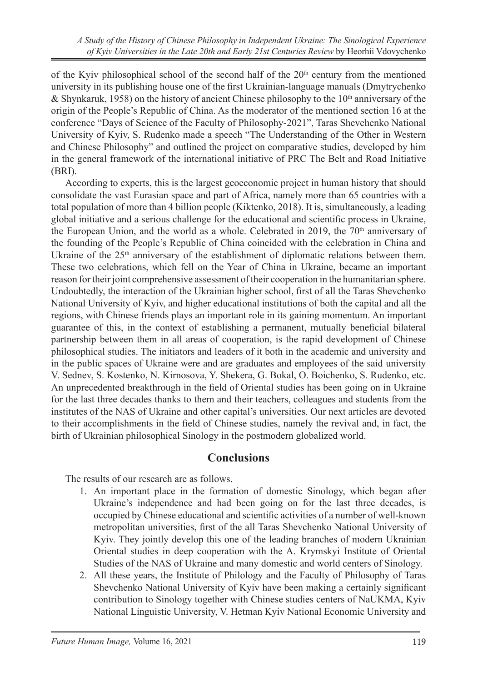of the Kyiv philosophical school of the second half of the  $20<sup>th</sup>$  century from the mentioned university in its publishing house one of the first Ukrainian-language manuals (Dmytrychenko & Shynkaruk, 1958) on the history of ancient Chinese philosophy to the  $10<sup>th</sup>$  anniversary of the origin of the People's Republic of China. As the moderator of the mentioned section 16 at the conference "Days of Science of the Faculty of Philosophy-2021", Taras Shevchenko National University of Kyiv, S. Rudenko made a speech "The Understanding of the Other in Western and Chinese Philosophy" and outlined the project on comparative studies, developed by him in the general framework of the international initiative of PRC The Belt and Road Initiative (BRI).

According to experts, this is the largest geoeconomic project in human history that should consolidate the vast Eurasian space and part of Africa, namely more than 65 countries with a total population of more than 4 billion people (Kiktenko, 2018). It is, simultaneously, a leading global initiative and a serious challenge for the educational and scientific process in Ukraine, the European Union, and the world as a whole. Celebrated in 2019, the  $70<sup>th</sup>$  anniversary of the founding of the People's Republic of China coincided with the celebration in China and Ukraine of the  $25<sup>th</sup>$  anniversary of the establishment of diplomatic relations between them. These two celebrations, which fell on the Year of China in Ukraine, became an important reason for their joint comprehensive assessment of their cooperation in the humanitarian sphere. Undoubtedly, the interaction of the Ukrainian higher school, first of all the Taras Shevchenko National University of Kyiv, and higher educational institutions of both the capital and all the regions, with Chinese friends plays an important role in its gaining momentum. An important guarantee of this, in the context of establishing a permanent, mutually beneficial bilateral partnership between them in all areas of cooperation, is the rapid development of Chinese philosophical studies. The initiators and leaders of it both in the academic and university and in the public spaces of Ukraine were and are graduates and employees of the said university V. Sednev, S. Kostenko, N. Kirnosova, Y. Shekera, G. Bokal, O. Boichenko, S. Rudenko, etc. An unprecedented breakthrough in the field of Oriental studies has been going on in Ukraine for the last three decades thanks to them and their teachers, colleagues and students from the institutes of the NAS of Ukraine and other capital's universities. Our next articles are devoted to their accomplishments in the field of Chinese studies, namely the revival and, in fact, the birth of Ukrainian philosophical Sinology in the postmodern globalized world.

#### **Conclusions**

The results of our research are as follows.

- 1. An important place in the formation of domestic Sinology, which began after Ukraine's independence and had been going on for the last three decades, is occupied by Chinese educational and scientific activities of a number of well-known metropolitan universities, first of the all Taras Shevchenko National University of Kyiv. They jointly develop this one of the leading branches of modern Ukrainian Oriental studies in deep cooperation with the A. Krymskyi Institute of Oriental Studies of the NAS of Ukraine and many domestic and world centers of Sinology.
- 2. All these years, the Institute of Philology and the Faculty of Philosophy of Taras Shevchenko National University of Kyiv have been making a certainly significant contribution to Sinology together with Chinese studies centers of NaUKMA, Kyiv National Linguistic University, V. Hetman Kyiv National Economic University and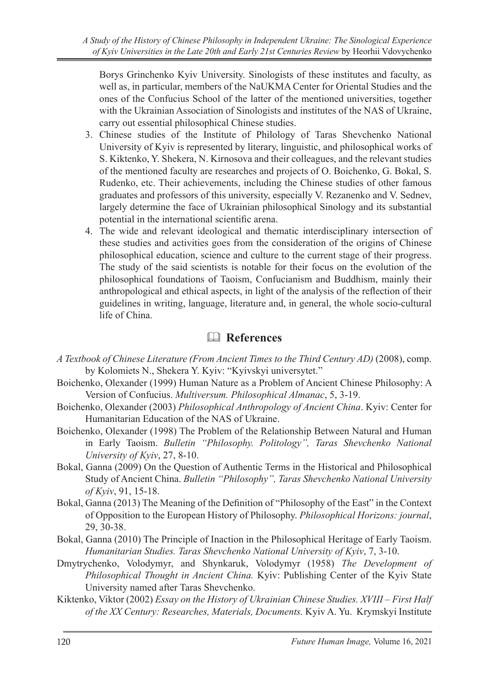Borys Grinchenko Kyiv University. Sinologists of these institutes and faculty, as well as, in particular, members of the NaUKMA Center for Oriental Studies and the ones of the Confucius School of the latter of the mentioned universities, together with the Ukrainian Association of Sinologists and institutes of the NAS of Ukraine, carry out essential philosophical Chinese studies.

- 3. Chinese studies of the Institute of Philology of Taras Shevchenko National University of Kyiv is represented by literary, linguistic, and philosophical works of S. Kiktenko, Y. Shekera, N. Kirnosova and their colleagues, and the relevant studies of the mentioned faculty are researches and projects of O. Boichenko, G. Bokal, S. Rudenko, etc. Their achievements, including the Chinese studies of other famous graduates and professors of this university, especially V. Rezanenko and V. Sednev, largely determine the face of Ukrainian philosophical Sinology and its substantial potential in the international scientific arena.
- 4. The wide and relevant ideological and thematic interdisciplinary intersection of these studies and activities goes from the consideration of the origins of Chinese philosophical education, science and culture to the current stage of their progress. The study of the said scientists is notable for their focus on the evolution of the philosophical foundations of Taoism, Confucianism and Buddhism, mainly their anthropological and ethical aspects, in light of the analysis of the reflection of their guidelines in writing, language, literature and, in general, the whole socio-cultural life of China.

## & **References**

- *A Textbook of Chinese Literature (From Ancient Times to the Third Century AD)* (2008), comp. by Kolomiets N., Shekera Y. Kyiv: "Kyivskyi universytet."
- Boichenko, Olexander (1999) Human Nature as a Problem of Ancient Chinese Philosophy: A Version of Confucius. *Multiversum. Philosophical Almanac*, 5, 3-19.
- Boichenko, Olexander (2003) *Philosophical Anthropology of Ancient China*. Kyiv: Center for Humanitarian Education of the NAS of Ukraine.
- Boichenko, Olexander (1998) The Problem of the Relationship Between Natural and Human in Early Taoism. *Bulletin "Philosophy. Politology", Taras Shevchenko National University of Kyiv*, 27, 8-10.
- Bokal, Ganna (2009) On the Question of Authentic Terms in the Historical and Philosophical Study of Ancient China. *Bulletin "Philosophy", Taras Shevchenko National University of Kyiv*, 91, 15-18.
- Bokal, Ganna (2013) The Meaning of the Definition of "Philosophy of the East" in the Context of Opposition to the European History of Philosophy. *Philosophical Horizons: journal*, 29, 30-38.
- Bokal, Ganna (2010) The Principle of Inaction in the Philosophical Heritage of Early Taoism. *Humanitarian Studies. Taras Shevchenko National University of Kyiv*, 7, 3-10.
- Dmytrychenko, Volodymyr, and Shynkaruk, Volodymyr (1958) *The Development of Philosophical Thought in Ancient China.* Kyiv: Publishing Center of the Kyiv State University named after Taras Shevchenko.
- Kiktenko, Viktor (2002) *Essay on the History of Ukrainian Chinese Studies. XVIII First Half of the XX Century: Researches, Materials, Documents.* Kyiv A. Yu. Krymskyi Institute